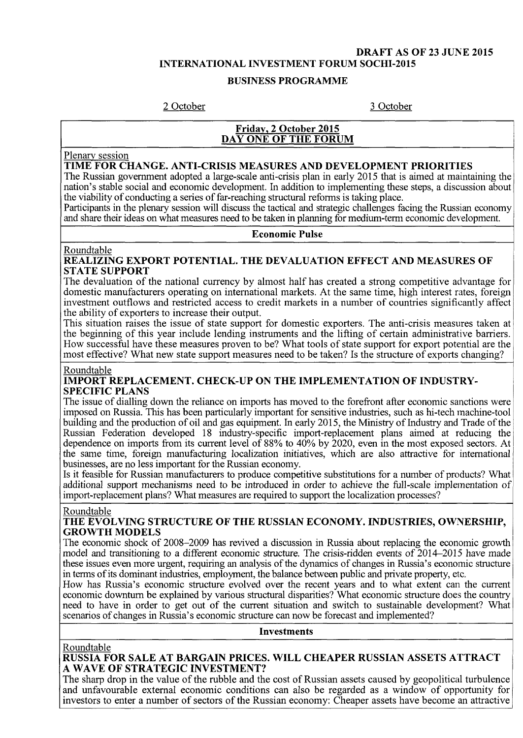#### **DRAFT AS OF 23 JUNE 2015 INTERNATIONAL INVESTMENT FORUM SOCHI-2015**

#### **BUSINESS PROGRAMME**

2 October 3 October

#### **Friday, 2 October 2015 DAY ONE OF THE FORUM**

Plenary session

#### **TIME FOR CHANGE. ANTI-CRISIS MEASURES AND DEVELOPMENT PRIORITIES**

The Russian government adopted a large-scale anti-crisis plan in early 2015 that is aimed at maintaining the nation's stable social and economic development. In addition to implementing these steps, a discussion about the viability of conducting a series of far-reaching structural reforms is taking place.

Participants in the plenary session will discuss the tactical and strategic challenges facing the Russian economy and share their ideas on what measures need to be taken in planning for medium-term economic development.

#### **Economic Pulse**

#### Roundtable

**REALIZING EXPORT POTENTIAL. THE DEVALUATION EFFECT AND MEASURES OF STATE SUPPORT** 

The devaluation of the national currency by almost half has created a strong competitive advantage for domestic manufacturers operating on international markets. At the same time, high interest rates, foreign investment outflows and restricted access to credit markets in a number of countries significantly affect the ability of exporters to increase their output.

This situation raises the issue of state support for domestic exporters. The anti-crisis measures taken at the beginning of this year include lending instruments and the lifting of certain administrative barriers. How successful have these measures proven to be? What tools of state support for export potential are the most effective? What new state support measures need to be taken? Is the structure of exports changing?

#### Roundtable

#### **IMPORT REPLACEMENT. CHECK-UP ON THE IMPLEMENTATION OF INDUSTRY-SPECIFIC PLANS**

The issue of dialling down the reliance on imports has moved to the forefront after economic sanctions were imposed on Russia. This has been particularly important for sensitive industries, such as hi-tech machine-tool building and the production of oil and gas equipment. In early 2015, the Ministry of Industry and Trade of the Russian Federation developed 18 industry-specific import-replacement plans aimed at reducing the dependence on imports from its current level of 88% to 40% by 2020, even in the most exposed sectors. At the same time, foreign manufacturing localization initiatives, which are also attractive for international businesses, are no less important for the Russian economy.

Is it feasible for Russian manufacturers to produce competitive substitutions for a number of products? What additional support mechanisms need to be introduced in order to achieve the full-scale implementation of import-replacement plans? What measures are required to support the localization processes?

#### Roundtable

#### **THE EVOLVING STRUCTURE OF THE RUSSIAN ECONOMY. INDUSTRIES, OWNERSHIP, GROWTH MODELS**

The economic shock of 2008-2009 has revived a discussion in Russia about replacing the economic growth model and transitioning to a different economic structure. The crisis-ridden events of 2014—2015 have made these issues even more urgent, requiring an analysis of the dynamics of changes in Russia's economic structure in terms of its dominant industries, employment, the balance between public and private property, etc.

How has Russia's economic structure evolved over the recent years and to what extent can the current economic downturn be explained by various structural disparities? What economic structure does the country need to have in order to get out of the current situation and switch to sustainable development? What scenarios of changes in Russia's economic structure can now be forecast and implemented?

#### **Investments**

#### Roundtable **RUSSIA FOR SALE AT BARGAIN PRICES. WILL CHEAPER RUSSIAN ASSETS ATTRACT A WAVE OF STRATEGIC INVESTMENT?**

The sharp drop in the value of the rubble and the cost of Russian assets caused by geopolitical turbulence and unfavourable external economic conditions can also be regarded as a window of opportunity for investors to enter a number of sectors of the Russian economy: Cheaper assets have become an attractive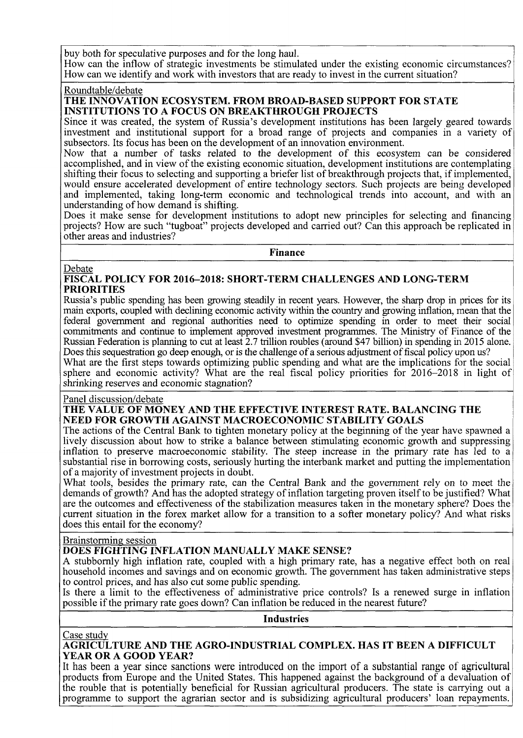buy both for speculative purposes and for the long haul.

How can the inflow of strategic investments be stimulated under the existing economic circumstances? How can we identify and work with investors that are ready to invest in the current situation?

Roundtable/debate

#### **THE INNOVATION ECOSYSTEM. FROM BROAD-BASED SUPPORT FOR STATE INSTITUTIONS TO A FOCUS ON BREAKTHROUGH PROJECTS**

Since it was created, the system of Russia's development institutions has been largely geared towards investment and institutional support for a broad range of projects and companies in a variety of subsectors. Its focus has been on the development of an innovation environment.

Now that a number of tasks related to the development of this ecosystem can be considered accomplished, and in view of the existing economic situation, development institutions are contemplating shifting their focus to selecting and supporting a briefer list of breakthrough projects that, if implemented, would ensure accelerated development of entire technology sectors. Such projects are being developed and implemented, taking long-term economic and technological trends into account, and with an understanding of how demand is shifting.

Does it make sense for development institutions to adopt new principles for selecting and financing projects? How are such "tugboat" projects developed and carried out? Can this approach be replicated in other areas and industries?

**Finance** 

#### **Debate**

**FISCAL POLICY FOR 2016-2018: SHORT-TERM CHALLENGES AND LONG-TERM PRIORITIES** 

Russia's public spending has been growing steadily in recent years. However, the sharp drop in prices for its main exports, coupled with declining economic activity within the country and growing inflation, mean that the federal government and regional authorities need to optimize spending in order to meet their social commitments and continue to implement approved investment programmes. The Ministry of Finance of the Russian Federation is planning to cut at least 2.7 trillion roubles (around \$47 billion) in spending in 2015 alone. Does this sequestration go deep enough, or is the challenge of a serious adjustment of fiscal policy upon us?

What are the first steps towards optimizing public spending and what are the implications for the social sphere and economic activity? What are the real fiscal policy priorities for 2016-2018 in light of shrinking reserves and economic stagnation?

#### Panel discussion/debate

#### **THE VALUE OF MONEY AND THE EFFECTIVE INTEREST RATE. BALANCING THE NEED FOR GROWTH AGAINST MACROECONOMIC STABILITY GOALS**

The actions of the Central Bank to tighten monetary policy at the beginning of the year have spawned a lively discussion about how to strike a balance between stimulating economic growth and suppressing inflation to preserve macroeconomic stability. The steep increase in the primary rate has led to a substantial rise in borrowing costs, seriously hurting the interbank market and putting the implementation of a majority of investment projects in doubt.

What tools, besides the primary rate, can the Central Bank and the government rely on to meet the demands of growth? And has the adopted strategy of inflation targeting proven itself to be justified? What are the outcomes and effectiveness of the stabilization measures taken in the monetary sphere? Does the current situation in the forex market allow for a transition to a softer monetary policy? And what risks does this entail for the economy?

# Brainstorming session

# **DOES FIGHTING INFLATION MANUALLY MAKE SENSE?**

A stubbornly high inflation rate, coupled with a high primary rate, has a negative effect both on real household incomes and savings and on economic growth. The government has taken administrative steps to control prices, and has also cut some public spending.

Is there a limit to the effectiveness of administrative price controls? Is a renewed surge in inflation possible if the primary rate goes down? Can inflation be reduced in the nearest future?

**Industries** 

#### Case study

#### **AGRICULTURE AND THE AGRO-INDUSTRIAL COMPLEX. HAS IT BEEN A DIFFICULT YEAR OR A GOOD YEAR?**

It has been a year since sanctions were introduced on the import of a substantial range of agricultural products from Europe and the United States. This happened against the background of a devaluation of the rouble that is potentially beneficial for Russian agricultural producers. The state is carrying out a programme to support the agrarian sector and is subsidizing agricultural producers' loan repayments.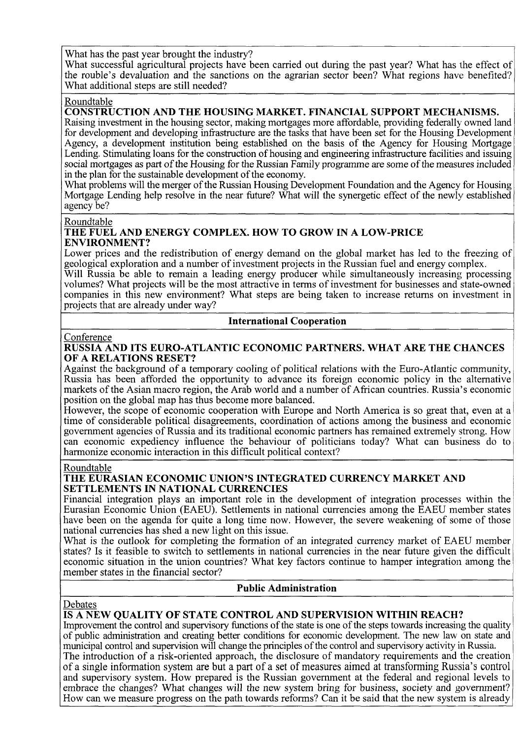What has the past year brought the industry?

What successful agricultural projects have been carried out during the past year? What has the effect of the rouble's devaluation and the sanctions on the agrarian sector been? What regions have benefited? What additional steps are still needed?

#### Roundtable

# **CONSTRUCTION AND THE HOUSING MARKET. FINANCIAL SUPPORT MECHANISMS.**

Raising investment in the housing sector, making mortgages more affordable, providing federally owned land for development and developing infrastructure are the tasks that have been set for the Housing Development Agency, a development institution being established on the basis of the Agency for Housing Mortgage Lending. Stimulating loans for the construction of housing and engineering infrastructure facilities and issuing social mortgages as part of the Housing for the Russian Family programme are some of the measures included in the plan for the sustainable development of the economy.

What problems will the merger of the Russian Housing Development Foundation and the Agency for Housing Mortgage Lending help resolve in the near future? What will the synergetic effect of the newly established agency be?

#### Roundtable

#### **THE FUEL AND ENERGY COMPLEX. HOW TO GROW IN A LOW-PRICE ENVIRONMENT?**

Lower prices and the redistribution of energy demand on the global market has led to the freezing of geological exploration and a number of investment projects in the Russian fuel and energy complex.

Will Russia be able to remain a leading energy producer while simultaneously increasing processing volumes? What projects will be the most attractive in terms of investment for businesses and state-owned companies in this new environment? What steps are being taken to increase returns on investment in projects that are already under way?

#### **International Cooperation**

#### Conference

#### **RUSSIA AND ITS EURO-ATLANTIC ECONOMIC PARTNERS. WHAT ARE THE CHANCES OF A RELATIONS RESET?**

Against the background of a temporary cooling of political relations with the Euro-Atlantic community, Russia has been afforded the opportunity to advance its foreign economic policy in the alternative markets of the Asian macro region, the Arab world and a number of African countries. Russia's economic position on the global map has thus become more balanced.

However, the scope of economic cooperation with Europe and North America is so great that, even at a time of considerable political disagreements, coordination of actions among the business and economic government agencies of Russia and its traditional economic partners has remained extremely strong. How can economic expediency influence the behaviour of politicians today? What can business do to harmonize economic interaction in this difficult political context?

#### Roundtable

#### **THE EURASIAN ECONOMIC UNION'S INTEGRATED CURRENCY MARKET AND SETTLEMENTS IN NATIONAL CURRENCIES**

Financial integration plays an important role in the development of integration processes within the Eurasian Economic Union (EAEU). Settlements in national currencies among the EAEU member states have been on the agenda for quite a long time now. However, the severe weakening of some of those national currencies has shed a new light on this issue.

What is the outlook for completing the formation of an integrated currency market of EAEU member states? Is it feasible to switch to settlements in national currencies in the near future given the difficult economic situation in the union countries? What key factors continue to hamper integration among the member states in the financial sector?

#### **Public Administration**

#### Debates

# **IS A NEW QUALITY OF STATE CONTROL AND SUPERVISION WITHIN REACH?**

Improvement the control and supervisory functions of the state is one of the steps towards increasing the quality of public administration and creating better conditions for economic development. The new law on state and municipal control and supervision will change the principles of the control and supervisory activity in Russia.

The introduction of a risk-oriented approach, the disclosure of mandatory requirements and the creation of a single information system are but a part of a set of measures aimed at transforming Russia's control and supervisory system. How prepared is the Russian government at the federal and regional levels to embrace the changes? What changes will the new system bring for business, society and government? How can we measure progress on the path towards reforms? Can it be said that the new system is already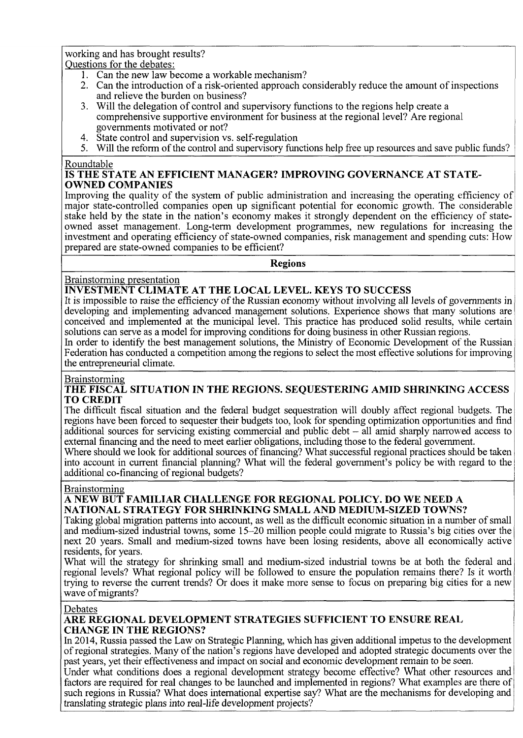working and has brought results? Questions for the debates:

- 1. Can the new law become a workable mechanism?
- 2. Can the introduction of a risk-oriented approach considerably reduce the amount of inspections and relieve the burden on business?
- 3. Will the delegation of control and supervisory functions to the regions help create a comprehensive supportive environment for business at the regional level? Are regional governments motivated or not?
- 4. State control and supervision vs. self-regulation
- 5. Will the reform of the control and supervisory functions help free up resources and save public funds?

# Roundiadie<br>Is tite st IS THE STATE AN EFFICIENT MANAGER? IMPROVING GOVERNANCE AT STATE-<br>AWNED COMPANIES

**OWNED COMPANIES**<br>Improving the quality of the system of public administration and increasing the operating efficiency of major state-controlled companies open up significant potential for economic growth. The considerable stake held by the state in the nation's economy makes it strongly dependent on the efficiency of stateowned asset management. Long-term development programmes, new regulations for increasing the owned asset management. Long-term development programmes, new regulations for increasing the investment and operating efficiency of state-owned companies, risk management and spending cuts. How prepared are state-owned companies to be efficient?

**Regions** 

# Brainstorming presentation

# **INVESTMENT CLIMATE AT THE LOCAL LEVEL. KEYS TO SUCCESS**

It is impossible to raise the efficiency of the Russian economy without involving all levels of governments in developing and implementing advanced management solutions. Experience shows that many solutions are conceived and implemented at the municipal level. This practice has produced solid results, while certain solutions can serve as a model for improving conditions for doing business in other Russian regions.

In order to identify the best management solutions, the Ministry of Economic Development of the Russian Federation has conducted a competition among the regions to select the most effective solutions for improving the entrepreneurial climate.

# Brainstorming

# **THE FISCAL SITUATION IN THE REGIONS. SEQUESTERING AMID SHRINKING ACCESS TO CREDIT**

The difficult fiscal situation and the federal budget sequestration will doubly affect regional budgets. The regions have been forced to sequester their budgets too, look for spending optimization opportunities and find additional sources for servicing existing commercial and public debt - all amid sharply narrowed access to external financing and the need to meet earlier obligations, including those to the federal government.

Where should we look for additional sources of financing? What successful regional practices should be taken into account in current financial planning? What will the federal government's policy be with regard to the additional co-financing of regional budgets?

#### Brainstorming

# **A NEW BUT FAMILIAR CHALLENGE FOR REGIONAL POLICY. DO WE NEED A NATIONAL STRATEGY FOR SHRINKING SMALL AND MEDIUM-SIZED TOWNS?**

Taking global migration patterns into account, as well as the difficult economic situation in a number of small and medium-sized industrial towns, some 15-20 million people could migrate to Russia's big cities over the next 20 years. Small and medium-sized towns have been losing residents, above all economically active residents, for years.

What will the strategy for shrinking small and medium-sized industrial towns be at both the federal and regional levels? What regional policy will be followed to ensure the population remains there? Is it worth trying to reverse the current trends? Or does it make more sense to focus on preparing big cities for a new wave of migrants?

#### Debates

# **ARE REGIONAL DEVELOPMENT STRATEGIES SUFFICIENT TO ENSURE REAL CHANGE IN THE REGIONS?**

In 2014, Russia passed the Law on Strategic Planning, which has given additional impetus to the development of regional strategies. Many of the nation's regions have developed and adopted strategic documents over the past years, yet their effectiveness and impact on social and economic development remain to be seen.

Under what conditions does a regional development strategy become effective? What other resources and factors are required for real changes to be launched and implemented in regions? What examples are there of such regions in Russia? What does international expertise say? What are the mechanisms for developing and translating strategic plans into real-life development projects?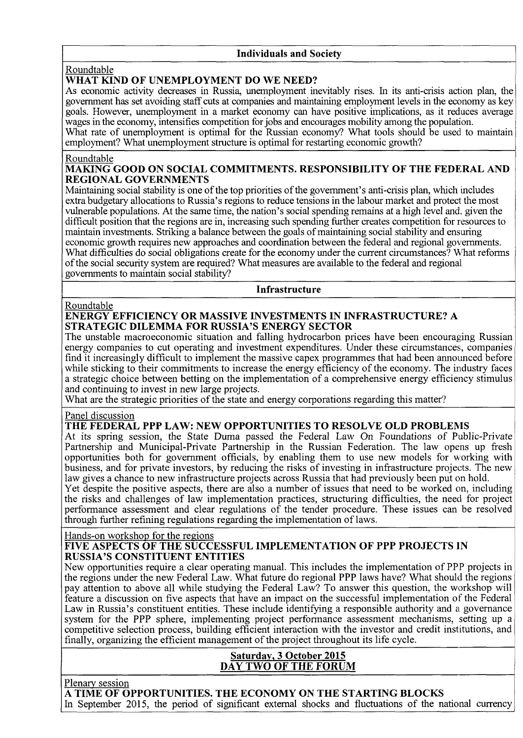#### **Individuals and Society**

#### Roundtable

# **WHAT KIND OF UNEMPLOYMENT DO WE NEED?**

As economic activity decreases in Russia, unemployment inevitably rises. In its anti-crisis action plan, the government has set avoiding staff cuts at companies and maintaining employment levels in the economy as key goals. However, unemployment in a market economy can have positive implications, as it reduces average wages in the economy, intensifies competition for jobs and encourages mobility among the population. What rate of unemployment is optimal for the Russian economy? What tools should be used to maintain employment? What unemployment structure is optimal for restarting economic growth?

#### Roundtable

#### **MAKING GOOD ON SOCIAL COMMITMENTS. RESPONSIBILITY OF THE FEDERAL AND REGIONAL GOVERNMENTS**

Maintaining social stability is one of the top priorities of the government's anti-crisis plan, which includes extra budgetary allocations to Russia's regions to reduce tensions in the labour market and protect the most vulnerable populations. At the same time, the nation's social spending remains at a high level and, given the difficult position that the regions are in, increasing such spending further creates competition for resources to maintain investments. Striking a balance between the goals of maintaining social stability and ensuring economic growth requires new approaches and coordination between the federal and regional governments. What difficulties do social obligations create for the economy under the current circumstances? What reforms of the social security system are required? What measures are available to the federal and regional governments to maintain social stability?

**Infrastructure** 

#### Roundtable

# **ENERGY EFFICIENCY OR MASSIVE INVESTMENTS IN INFRASTRUCTURE? A STRATEGIC DILEMMA FOR RUSSIA'S ENERGY SECTOR**

The unstable macroeconomic situation and falling hydrocarbon prices have been encouraging Russian energy companies to cut operating and investment expenditures. Under these circumstances, companies find it increasingly difficult to implement the massive capex programmes that had been announced before while sticking to their commitments to increase the energy efficiency of the economy. The industry faces a strategic choice between betting on the implementation of a comprehensive energy efficiency stimulus and continuing to invest in new large projects.

What are the strategic priorities of the state and energy corporations regarding this matter?

# Panel discussion<br>THE FEDERAL PPP LAW: NEW OPPORTUNITIES TO RESOLVE OLD PROBLEMS

At its spring session, the State Duma passed the Federal Law On Foundations of Public-Private Partnership and Municipal-Private Partnership in the Russian Federation. The law opens up fresh opportunities both for government officials, by enabling them to use new models for working with business, and for private investors, by reducing the risks of investing in infrastructure projects. The new law gives a chance to new infrastructure projects across Russia that had previously been put on hold. law gives a chance to new infrastructure projects across Russia that had previously been put on hold.<br>Not degrite the negitive expects, there are also a number of issues that need to be were don, inclu

I et despite the positive aspects, there are also a number of issues that need to be worked on, including<br>the girls and abellar accordians incoloneated a meeting association difficulties, the need for meetest the risks and challenges of law implementation practices, structuring difficulties, the need for project performance assessment and clear regulations of the tender procedure. These issues can be resolved<br>theoret further refining regulations recording the implementation of leves through further refining regulations regarding the implementation of laws.

#### Hands-on workshop for the regions

#### **FIVE ASPECTS OF THE SUCCESSFUL IMPLEMENTATION OF PPP PROJECTS IN RUSSIA'S CONSTITUENT ENTITIES**

New opportunities require a clear operating manual. This includes the implementation of PPP projects in the regions under the new Federal Law. What future do regional PPP laws have? What should the regions pay attention to above all while studying the Federal Law? To answer this question, the workshop will feature a discussion on five aspects that have an impact on the successful implementation of the Federal Law in Russia's constituent entities. These include identifying a responsible authority and a governance system for the PPP sphere, implementing project performance assessment mechanisms, setting up a competitive selection process, building efficient interaction with the investor and credit institutions, and finally, organizing the efficient management of the project throughout its life cycle.

# **Saturday, 3 October 2015 DAY TWO OF THE FORUM**

Plenary session

# **A TIME OF OPPORTUNITIES. THE ECONOMY ON THE STARTING BLOCKS**

In September 2015, the period of significant external shocks and fluctuations of the national currency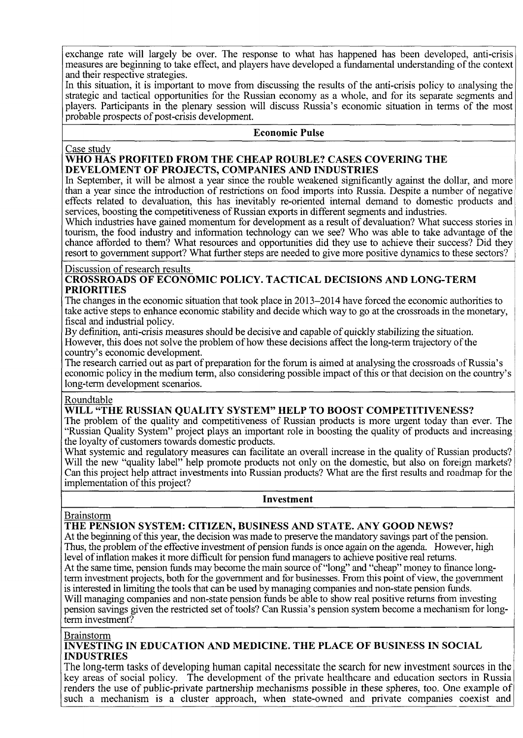exchange rate will largely be over. The response to what has happened has been developed, anti-crisis measures are beginning to take effect, and players have developed a fundamental understanding of the context and their respective strategies.

In this situation, it is important to move from discussing the results of the anti-crisis policy to analysing the strategic and tactical opportunities for the Russian economy as a whole, and for its separate segments and players. Participants in the plenary session will discuss Russia's economic situation in terms of the most probable prospects of post-crisis development.

# **Economic Pulse**

Case study

#### **WHO HAS PROFITED FROM THE CHEAP ROUBLE? CASES COVERING THE DEVELOMENT OF PROJECTS, COMPANIES AND INDUSTRIES**

In September, it will be almost a year since the rouble weakened significantly against the dollar, and more than a year since the introduction of restrictions on food imports into Russia. Despite a number of negative effects related to devaluation, this has inevitably re-oriented internal demand to domestic products and services, boosting the competitiveness of Russian exports in different segments and industries.

Which industries have gained momentum for development as a result of devaluation? What success stories in tourism, the food industry and information technology can we see? Who was able to take advantage of the chance afforded to them? What resources and opportunities did they use to achieve their success? Did they resort to government support? What further steps are needed to give more positive dynamics to these sectors?

#### Discussion of research results

**CROSSROADS OF ECONOMIC POLICY. TACTICAL DECISIONS AND LONG-TERM PRIORITIES** 

The changes in the economic situation that took place in 2013-2014 have forced the economic authorities to take active steps to enhance economic stability and decide which way to go at the crossroads in the monetary, fiscal and industrial policy.

By definition, anti-crisis measures should be decisive and capable of quickly stabilizing the situation. However, this does not solve the problem of how these decisions affect the long-term trajectory of the country's economic development.

The research carried out as part of preparation for the forum is aimed at analysing the crossroads of Russia's economic policy in the medium term, also considering possible impact of this or that decision on the country's long-term development scenarios.

#### Roundtable

# **WILL "THE RUSSIAN QUALITY SYSTEM" HELP TO BOOST COMPETITIVENESS?**

The problem of the quality and competitiveness of Russian products is more urgent today than ever. The "Russian Quality System" project plays an important role in boosting the quality of products and increasing the loyalty of customers towards domestic products.

What systemic and regulatory measures can facilitate an overall increase in the quality of Russian products? Will the new "quality label" help promote products not only on the domestic, but also on foreign markets? Can this project help attract investments into Russian products? What are the first results and roadmap for the implementation of this project?

#### **Investment**

Brainstorm

# **THE PENSION SYSTEM: CITIZEN, BUSINESS AND STATE. ANY GOOD NEWS?**

At the beginning of this year, the decision was made to preserve the mandatory savings part of the pension. Thus, the problem of the effective investment of pension funds is once again on the agenda. However, high level of inflation makes it more difficult for pension fund managers to achieve positive real returns. At the same time, pension funds may become the main source of "long" and "cheap" money to finance longterm investment projects, both for the government and for businesses. From this point of view, the government is interested in limiting the tools that can be used by managing companies and non-state pension funds. Will managing companies and non-state pension funds be able to show real positive returns from investing pension savings given the restricted set of tools? Can Russia's pension system become a mechanism for longterm investment?

**Brainstorm** 

**INVESTING IN EDUCATION AND MEDICINE. THE PLACE OF BUSINESS IN SOCIAL INDUSTRIES** 

The long-term tasks of developing human capital necessitate the search for new investment sources in the key areas of social policy. The development of the private healthcare and education sectors in Russia renders the use of public-private partnership mechanisms possible in these spheres, too. One example of such a mechanism is a cluster approach, when state-owned and private companies coexist and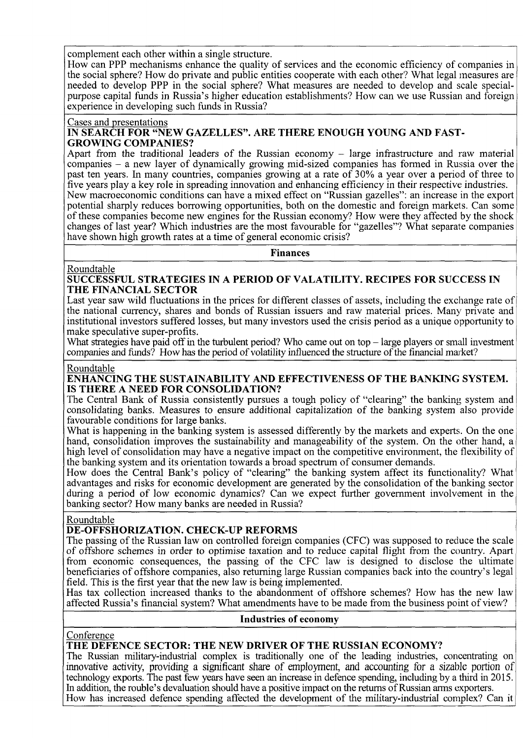complement each other within a single structure.

How can PPP mechanisms enhance the quality of services and the economic efficiency of companies in the social sphere? How do private and public entities cooperate with each other? What legal measures are needed to develop PPP in the social sphere? What measures are needed to develop and scale specialpurpose capital funds in Russia's higher education establishments? How can we use Russian and foreign experience in developing such funds in Russia?

#### Cases and presentations

#### **IN SEARCH FOR "NEW GAZELLES". ARE THERE ENOUGH YOUNG AND FAST-GROWING COMPANIES?**

Apart from the traditional leaders of the Russian economy – large infrastructure and raw material companies - a new layer of dynamically growing mid-sized companies has formed in Russia over the past ten years. In many countries, companies growing at a rate of 30% a year over a period of three to five years play a key role in spreading innovation and enhancing efficiency in their respective industries. New macroeconomic conditions can have a mixed effect on "Russian gazelles": an increase in the export potential sharply reduces borrowing opportunities, both on the domestic and foreign markets. Can some of these companies become new engines for the Russian economy? How were they affected by the shock changes of last year? Which industries are the most favourable for "gazelles"? What separate companies have shown high growth rates at a time of general economic crisis?

**Finances** 

#### Roundtable

**SUCCESSFUL STRATEGIES IN A PERIOD OF VALATILITY. RECIPES FOR SUCCESS IN THE FINANCIAL SECTOR** 

Last year saw wild fluctuations in the prices for different classes of assets, including the exchange rate of the national currency, shares and bonds of Russian issuers and raw material prices. Many private and institutional investors suffered losses, but many investors used the crisis period as a unique opportunity to make speculative super-profits.

What strategies have paid off in the turbulent period? Who came out on top – large players or small investment companies and funds? How has the period of volatility influenced the structure of the financial market?

#### Roundtable

#### **ENHANCING THE SUSTAINABILITY AND EFFECTIVENESS OF THE BANKING SYSTEM. IS THERE A NEED FOR CONSOLIDATION?**

The Central Bank of Russia consistently pursues a tough policy of "clearing" the banking system and consolidating banks. Measures to ensure additional capitalization of the banking system also provide favourable conditions for large banks.

What is happening in the banking system is assessed differently by the markets and experts. On the one hand, consolidation improves the sustainability and manageability of the system. On the other hand, a high level of consolidation may have a negative impact on the competitive environment, the flexibility of the banking system and its orientation towards a broad spectrum of consumer demands.

How does the Central Bank's policy of "clearing" the banking system affect its functionality? What advantages and risks for economic development are generated by the consolidation of the banking sector during a period of low economic dynamics? Can we expect further government involvement in the banking sector? How many banks are needed in Russia?

#### Roundtable

#### **DE-OFFSHORIZATION. CHECK-UP REFORMS**

The passing of the Russian law on controlled foreign companies (CFC) was supposed to reduce the scale of offshore schemes in order to optimise taxation and to reduce capital flight from the country. Apart from economic consequences, the passing of the CFC law is designed to disclose the ultimate beneficiaries of offshore companies, also returning large Russian companies back into the country's legal field. This is the first year that the new law is being implemented.

Has tax collection increased thanks to the abandonment of offshore schemes? How has the new law affected Russia's financial system? What amendments have to be made from the business point of view?

#### **Industries of economy**

#### Conference

#### **THE DEFENCE SECTOR: THE NEW DRIVER OF THE RUSSIAN ECONOMY?**

The Russian military-industrial complex is traditionally one of the leading industries, concentrating on innovative activity, providing a significant share of employment, and accounting for a sizable portion of technology exports. The past few years have seen an increase in defence spending, including by a third in 2015. In addition, the rouble's devaluation should have a positive impact on the returns of Russian arms exporters. How has increased defence spending affected the development of the military-industrial complex? Can it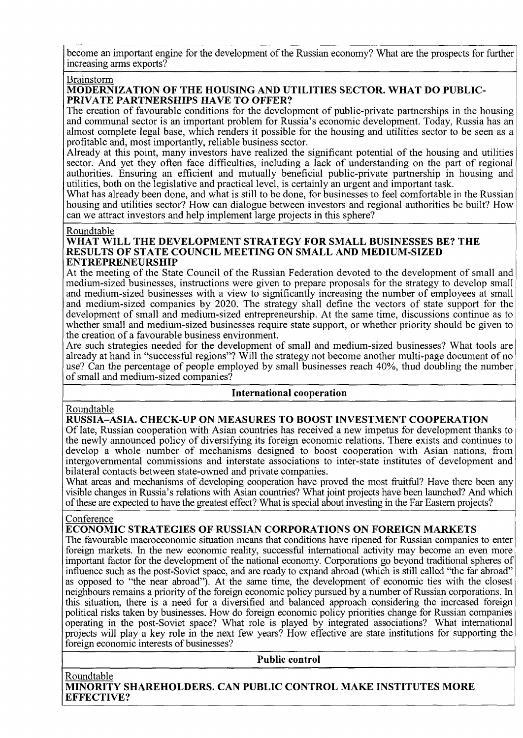become an important engine for the development of the Russian economy? What are the prospects for further increasing arms exports?

#### Brainstorm

#### **MODERNIZATION OF THE HOUSING AND UTILITIES SECTOR. WHAT DO PUBLIC-PRIVATE PARTNERSHIPS HAVE TO OFFER?**

The creation of favourable conditions for the development of public-private partnerships in the housing and communal sector is an important problem for Russia's economic development. Today, Russia has an almost complete legal base, which renders it possible for the housing and utilities sector to be seen as a profitable and, most importantly, reliable business sector.

Already at this point, many investors have realized the significant potential of the housing and utilities sector. And yet they often face difficulties, including a lack of understanding on the part of regional authorities. Ensuring an efficient and mutually beneficial public-private partnership in housing and utilities, both on the legislative and practical level, is certainly an urgent and important task.

What has already been done, and what is still to be done, for businesses to feel comfortable in the Russian housing and utilities sector? How can dialogue between investors and regional authorities be built? How can we attract investors and help implement large projects in this sphere?

#### Roundtable

#### **WHAT WILL THE DEVELOPMENT STRATEGY FOR SMALL BUSINESSES BE? THE RESULTS OF STATE COUNCIL MEETING ON SMALL AND MEDIUM-SIZED ENTREPRENEURSHIP**

At the meeting of the State Council of the Russian Federation devoted to the development of small and medium-sized businesses, instructions were given to prepare proposals for the strategy to develop small and medium-sized businesses with a view to significantly increasing the number of employees at small and medium-sized companies by 2020. The strategy shall define the vectors of state support for the development of small and medium-sized entrepreneurship. At the same time, discussions continue as to whether small and medium-sized businesses require state support, or whether priority should be given to the creation of a favourable business environment.

Are such strategies needed for the development of small and medium-sized businesses? What tools are already at hand in "successful regions"? Will the strategy not become another multi-page document of no use? Can the percentage of people employed by small businesses reach 40%, thud doubling the number of small and medium-sized companies?

# **International cooperation**

#### Roundtable

# **RUSSIA-ASIA. CHECK-UP ON MEASURES TO BOOST INVESTMENT COOPERATION**

Of late, Russian cooperation with Asian countries has received a new impetus for development thanks to the newly announced policy of diversifying its foreign economic relations. There exists and continues to develop a whole number of mechanisms designed to boost cooperation with Asian nations, from intergovernmental commissions and interstate associations to inter-state institutes of development and bilateral contacts between state-owned and private companies.

What areas and mechanisms of developing cooperation have proved the most fruitful? Have there been any visible changes in Russia's relations with Asian countries? What joint projects have been launched? And which of these are expected to have the greatest effect? What is special about investing in the Far Eastern projects?

#### Conference

# **ECONOMIC STRATEGIES OF RUSSIAN CORPORATIONS ON FOREIGN MARKETS**

The favourable macroeconomic situation means that conditions have ripened for Russian companies to enter foreign markets. In the new economic reality, successful international activity may become an even more important factor for the development of the national economy. Corporations go beyond traditional spheres of influence such as the post-Soviet space, and are ready to expand abroad (which is still called "the far abroad" as opposed to "the near abroad"). At the same time, the development of economic ties with the closest neighbours remains a priority of the foreign economic policy pursued by a number of Russian corporations. In this situation, there is a need for a diversified and balanced approach considering the increased foreign political risks taken by businesses. How do foreign economic policy priorities change for Russian companies operating in the post-Soviet space? What role is played by integrated associations? What international projects will play a key role in the next few years? How effective are state institutions for supporting the foreign economic interests of businesses?

**Public control** 

Roundtable **MINORITY SHAREHOLDERS. CAN PUBLIC CONTROL MAKE INSTITUTES MORE EFFECTIVE?**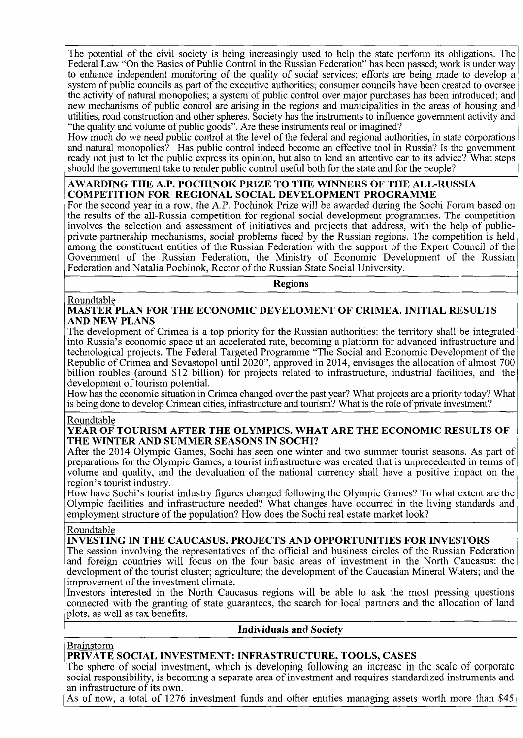The potential of the civil society is being increasingly used to help the state perform its obligations. The Federal Law "On the Basics of Public Control in the Russian Federation" has been passed; work is under way to enhance independent monitoring of the quality of social services; efforts are being made to develop a system of public councils as part of the executive authorities; consumer councils have been created to oversee the activity of natural monopolies; a system of public control over major purchases has been introduced; and new mechanisms of public control are arising in the regions and municipalities in the areas of housing and utilities, road construction and other spheres. Society has the instruments to influence government activity and "the quality and volume of public goods". Are these instruments real or imagined?

How much do we need public control at the level of the federal and regional authorities, in state corporations and natural monopolies? Has public control indeed become an effective tool in Russia? Is the government ready not just to let the public express its opinion, but also to lend an attentive ear to its advice? What steps should the government take to render public control useful both for the state and for the people?

#### **AWARDING THE A.P. POCHINOK PRIZE TO THE WINNERS OF THE ALL-RUSSIA COMPETITION FOR REGIONAL SOCIAL DEVELOPMENT PROGRAMME**

For the second year in a row, the A.P. Pochinok Prize will be awarded during the Sochi Forum based on the results of the all-Russia competition for regional social development programmes. The competition involves the selection and assessment of initiatives and projects that address, with the help of publicprivate partnership mechanisms, social problems faced by the Russian regions. The competition is held among the constituent entities of the Russian Federation with the support of the Expert Council of the Government of the Russian Federation, the Ministry of Economic Development of the Russian Federation and Natalia Pochinok, Rector of the Russian State Social University.

**Regions** 

#### Roundtable

**MASTER PLAN FOR THE ECONOMIC DEVELOMENT OF CRIMEA. INITIAL RESULTS AND NEW PLANS** 

The development of Crimea is a top priority for the Russian authorities: the territory shall be integrated into Russia's economic space at an accelerated rate, becoming a platform for advanced infrastructure and technological projects. The Federal Targeted Programme "The Social and Economic Development of the Republic of Crimea and Sevastopol until 2020", approved in 2014, envisages the allocation of almost 700 billion roubles (around \$12 billion) for projects related to infrastructure, industrial facilities, and the development of tourism potential.

How has the economic situation in Crimea changed over the past year? What projects are a priority today? What is being done to develop Crimean cities, infrastructure and tourism? What is the role of private investment?

#### Roundtable

#### **YEAR OF TOURISM AFTER THE OLYMPICS. WHAT ARE THE ECONOMIC RESULTS OF THE WINTER AND SUMMER SEASONS IN SOCHI?**

After the 2014 Olympic Games, Sochi has seen one winter and two summer tourist seasons. As part of preparations for the Olympic Games, a tourist infrastructure was created that is unprecedented in terms of volume and quality, and the devaluation of the national currency shall have a positive impact on the region's tourist industry.

How have Sochi's tourist industry figures changed following the Olympic Games? To what extent are the Olympic facilities and infrastructure needed? What changes have occurred in the living standards and employment structure of the population? How does the Sochi real estate market look?

#### Roundtable

# **INVESTING IN THE CAUCASUS. PROJECTS AND OPPORTUNITIES FOR INVESTORS**

The session involving the representatives of the official and business circles of the Russian Federation and foreign countries will focus on the four basic areas of investment in the North Caucasus: the development of the tourist cluster; agriculture; the development of the Caucasian Mineral Waters; and the improvement of the investment climate.

Investors interested in the North Caucasus regions will be able to ask the most pressing questions connected with the granting of state guarantees, the search for local partners and the allocation of land plots, as well as tax benefits.

#### **Individuals and Society**

#### Brainstorm

# **PRIVATE SOCIAL INVESTMENT: INFRASTRUCTURE, TOOLS, CASES**

The sphere of social investment, which is developing following an increase in the scale of corporate social responsibility, is becoming a separate area of investment and requires standardized instruments and an infrastructure of its own.

As of now, a total of 1276 investment funds and other entities managing assets worth more than \$45